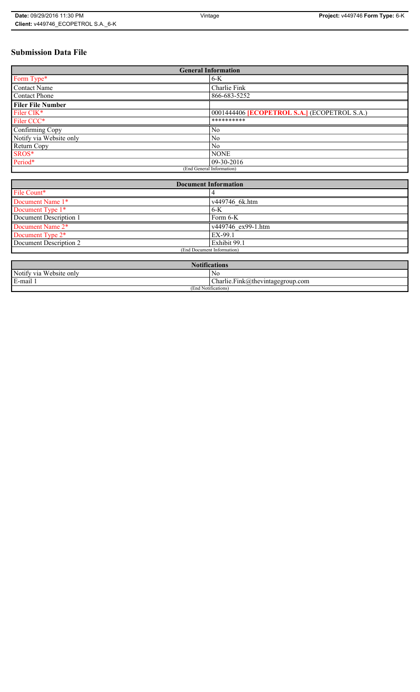## **Submission Data File**

| <b>General Information</b> |                                                     |
|----------------------------|-----------------------------------------------------|
| Form Type*                 | $6-K$                                               |
| <b>Contact Name</b>        | Charlie Fink                                        |
| <b>Contact Phone</b>       | 866-683-5252                                        |
| <b>Filer File Number</b>   |                                                     |
| Filer CIK*                 | 0001444406 <b>[ECOPETROL S.A.]</b> (ECOPETROL S.A.) |
| Filer CCC*                 | **********                                          |
| Confirming Copy            | N <sub>0</sub>                                      |
| Notify via Website only    | N <sub>0</sub>                                      |
| Return Copy                | N <sub>0</sub>                                      |
| SROS*                      | <b>NONE</b>                                         |
| Period*                    | 09-30-2016                                          |
| (End General Information)  |                                                     |

| <b>Document Information</b> |                    |
|-----------------------------|--------------------|
| File Count*                 |                    |
| Document Name 1*            | v449746 6k.htm     |
| Document Type 1*            | $6-K$              |
| Document Description 1      | Form 6-K           |
| Document Name 2*            | v449746 ex99-1.htm |
| Document Type 2*            | EX-99.1            |
| Document Description 2      | Exhibit 99.1       |
| (End Document Information)  |                    |
|                             |                    |

| <b>Notifications</b>    |                                  |
|-------------------------|----------------------------------|
| Notify via Website only | N0                               |
| E-mail 1                | Charlie.Fink@thevintagegroup.com |
| (End Notifications)     |                                  |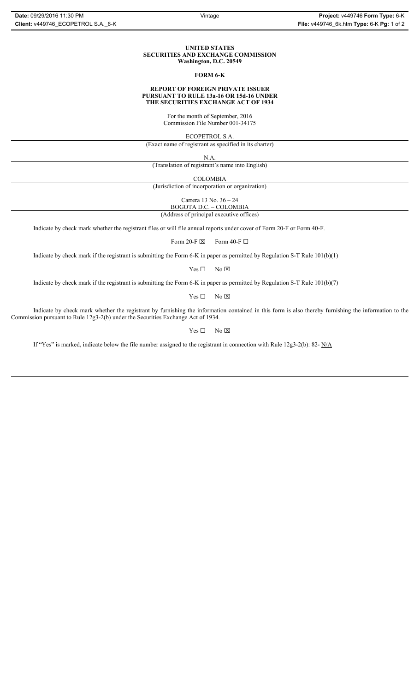#### **UNITED STATES SECURITIES AND EXCHANGE COMMISSION Washington, D.C. 20549**

## **FORM 6-K**

#### **REPORT OF FOREIGN PRIVATE ISSUER PURSUANT TO RULE 13a-16 OR 15d-16 UNDER THE SECURITIES EXCHANGE ACT OF 1934**

For the month of September, 2016 Commission File Number 001-34175

ECOPETROL S.A.

(Exact name of registrant as specified in its charter)

N.A.

(Translation of registrant's name into English)

COLOMBIA

(Jurisdiction of incorporation or organization)

Carrera 13 No. 36 – 24

BOGOTA D.C. – COLOMBIA

(Address of principal executive offices)

Indicate by check mark whether the registrant files or will file annual reports under cover of Form 20-F or Form 40-F.

Form 20-F  $\boxtimes$  Form 40-F  $\Box$ 

Indicate by check mark if the registrant is submitting the Form 6-K in paper as permitted by Regulation S-T Rule 101(b)(1)

 $Yes \Box$  No  $\boxtimes$ 

Indicate by check mark if the registrant is submitting the Form 6-K in paper as permitted by Regulation S-T Rule 101(b)(7)

 $Yes \Box$  No  $\boxtimes$ 

Indicate by check mark whether the registrant by furnishing the information contained in this form is also thereby furnishing the information to the Commission pursuant to Rule 12g3-2(b) under the Securities Exchange Act of 1934.

 $Yes \Box$  No  $\boxtimes$ 

If "Yes" is marked, indicate below the file number assigned to the registrant in connection with Rule 12g3-2(b): 82- N/A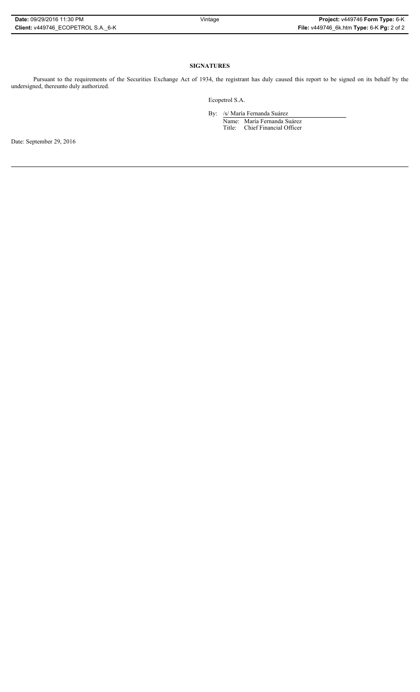## **SIGNATURES**

Pursuant to the requirements of the Securities Exchange Act of 1934, the registrant has duly caused this report to be signed on its behalf by the undersigned, thereunto duly authorized.

Ecopetrol S.A.

By: /s/ María Fernanda Suárez Name: María Fernanda Suárez Title: Chief Financial Officer

Date: September 29, 2016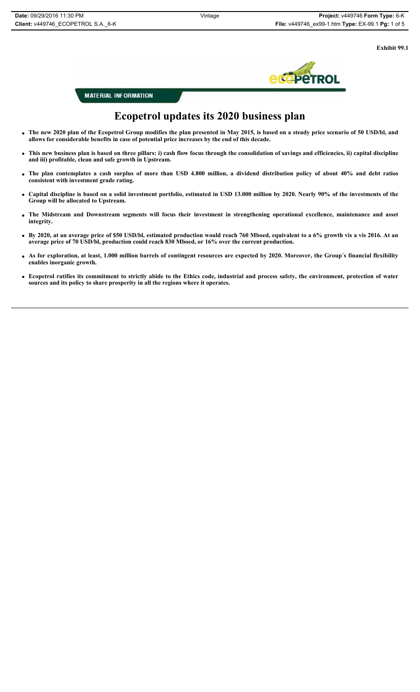**Exhibit 99.1**



**MATERIAL INFORMATION** 

# **Ecopetrol updates its 2020 business plan**

- x **The new 2020 plan of the Ecopetrol Group modifies the plan presented in May 2015, is based on a steady price scenario of 50 USD/bl, and allows for considerable benefits in case of potential price increases by the end of this decade.**
- x **This new business plan is based on three pillars: i) cash flow focus through the consolidation of savings and efficiencies, ii) capital discipline and iii) profitable, clean and safe growth in Upstream.**
- x **The plan contemplates a cash surplus of more than USD 4.800 million, a dividend distribution policy of about 40% and debt ratios consistent with investment grade rating.**
- x **Capital discipline is based on a solid investment portfolio, estimated in USD 13.000 million by 2020. Nearly 90% of the investments of the Group will be allocated to Upstream.**
- x **The Midstream and Downstream segments will focus their investment in strengthening operational excellence, maintenance and asset integrity.**
- x **By 2020, at an average price of \$50 USD/bl, estimated production would reach 760 Mboed, equivalent to a 6% growth vis a vis 2016. At an average price of 70 USD/bl, production could reach 830 Mboed, or 16% over the current production.**
- x **As for exploration, at least, 1.000 million barrels of contingent resources are expected by 2020. Moreover, the Group´s financial flexibility enables inorganic growth.**
- x **Ecopetrol ratifies its commitment to strictly abide to the Ethics code, industrial and process safety, the environment, protection of water sources and its policy to share prosperity in all the regions where it operates.**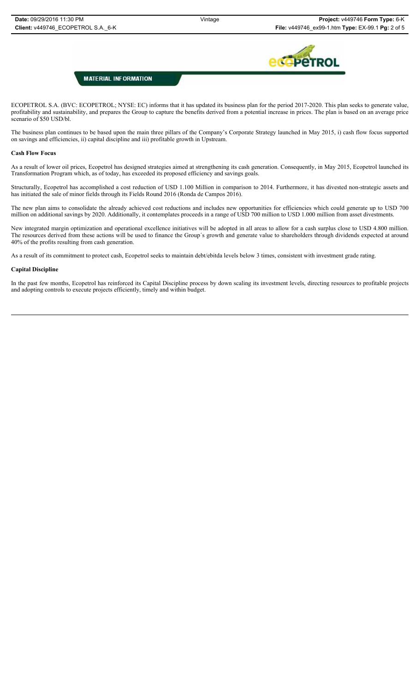

## **MATERIAL INFORMATION**

ECOPETROL S.A. (BVC: ECOPETROL; NYSE: EC) informs that it has updated its business plan for the period 2017-2020. This plan seeks to generate value, profitability and sustainability, and prepares the Group to capture the benefits derived from a potential increase in prices. The plan is based on an average price scenario of \$50 USD/bl.

The business plan continues to be based upon the main three pillars of the Company's Corporate Strategy launched in May 2015, i) cash flow focus supported on savings and efficiencies, ii) capital discipline and iii) profitable growth in Upstream.

## **Cash Flow Focus**

As a result of lower oil prices, Ecopetrol has designed strategies aimed at strengthening its cash generation. Consequently, in May 2015, Ecopetrol launched its Transformation Program which, as of today, has exceeded its proposed efficiency and savings goals.

Structurally, Ecopetrol has accomplished a cost reduction of USD 1.100 Million in comparison to 2014. Furthermore, it has divested non-strategic assets and has initiated the sale of minor fields through its Fields Round 2016 (Ronda de Campos 2016).

The new plan aims to consolidate the already achieved cost reductions and includes new opportunities for efficiencies which could generate up to USD 700 million on additional savings by 2020. Additionally, it contemplates proceeds in a range of USD 700 million to USD 1.000 million from asset divestments.

New integrated margin optimization and operational excellence initiatives will be adopted in all areas to allow for a cash surplus close to USD 4.800 million. The resources derived from these actions will be used to finance the Group´s growth and generate value to shareholders through dividends expected at around 40% of the profits resulting from cash generation.

As a result of its commitment to protect cash, Ecopetrol seeks to maintain debt/ebitda levels below 3 times, consistent with investment grade rating.

#### **Capital Discipline**

In the past few months, Ecopetrol has reinforced its Capital Discipline process by down scaling its investment levels, directing resources to profitable projects and adopting controls to execute projects efficiently, timely and within budget.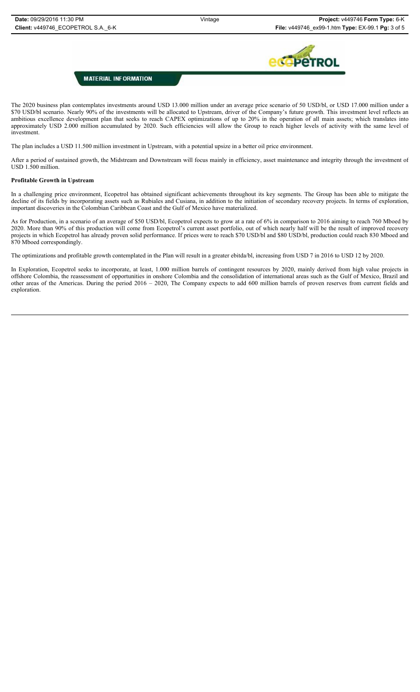

## **MATERIAL INFORMATION**

The 2020 business plan contemplates investments around USD 13.000 million under an average price scenario of 50 USD/bl, or USD 17.000 million under a \$70 USD/bl scenario. Nearly 90% of the investments will be allocated to Upstream, driver of the Company's future growth. This investment level reflects an ambitious excellence development plan that seeks to reach CAPEX optimizations of up to 20% in the operation of all main assets; which translates into approximately USD 2.000 million accumulated by 2020. Such efficiencies will allow the Group to reach higher levels of activity with the same level of investment.

The plan includes a USD 11.500 million investment in Upstream, with a potential upsize in a better oil price environment.

After a period of sustained growth, the Midstream and Downstream will focus mainly in efficiency, asset maintenance and integrity through the investment of USD 1.500 million.

## **Profitable Growth in Upstream**

In a challenging price environment, Ecopetrol has obtained significant achievements throughout its key segments. The Group has been able to mitigate the decline of its fields by incorporating assets such as Rubiales and Cusiana, in addition to the initiation of secondary recovery projects. In terms of exploration, important discoveries in the Colombian Caribbean Coast and the Gulf of Mexico have materialized.

As for Production, in a scenario of an average of \$50 USD/bl, Ecopetrol expects to grow at a rate of 6% in comparison to 2016 aiming to reach 760 Mboed by 2020. More than 90% of this production will come from Ecopetrol's current asset portfolio, out of which nearly half will be the result of improved recovery projects in which Ecopetrol has already proven solid performance. If prices were to reach \$70 USD/bl and \$80 USD/bl, production could reach 830 Mboed and 870 Mboed correspondingly.

The optimizations and profitable growth contemplated in the Plan will result in a greater ebitda/bl, increasing from USD 7 in 2016 to USD 12 by 2020.

In Exploration, Ecopetrol seeks to incorporate, at least, 1.000 million barrels of contingent resources by 2020, mainly derived from high value projects in offshore Colombia, the reassessment of opportunities in onshore Colombia and the consolidation of international areas such as the Gulf of Mexico, Brazil and other areas of the Americas. During the period 2016 – 2020, The Company expects to add 600 million barrels of proven reserves from current fields and exploration.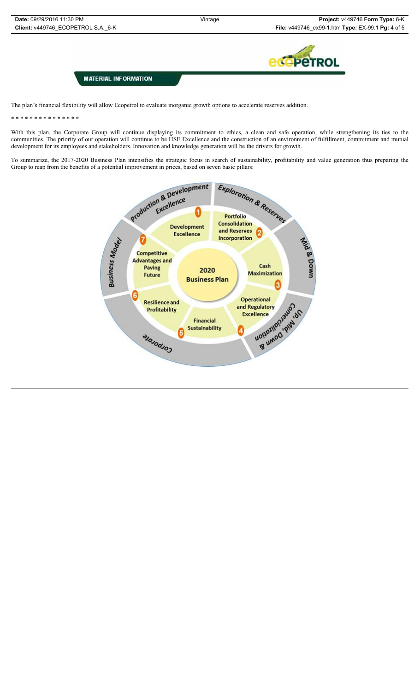

**MATERIAL INFORMATION** 

The plan's financial flexibility will allow Ecopetrol to evaluate inorganic growth options to accelerate reserves addition.

\* \* \* \* \* \* \* \* \* \* \* \* \* \* \*

With this plan, the Corporate Group will continue displaying its commitment to ethics, a clean and safe operation, while strengthening its ties to the communities. The priority of our operation will continue to be HSE Excellence and the construction of an environment of fulfillment, commitment and mutual development for its employees and stakeholders. Innovation and knowledge generation will be the drivers for growth.

To summarize, the 2017-2020 Business Plan intensifies the strategic focus in search of sustainability, profitability and value generation thus preparing the